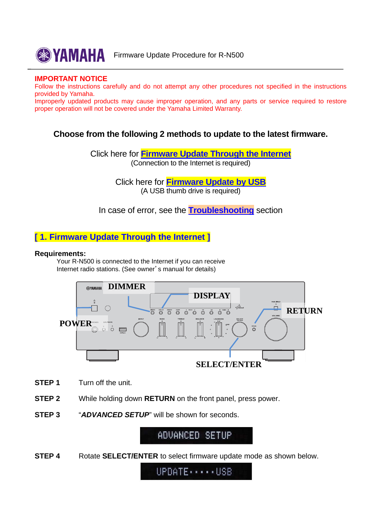

**EXAMAHA** Firmware Update Procedure for R-N500

#### **IMPORTANT NOTICE**

Follow the instructions carefully and do not attempt any other procedures not specified in the instructions provided by Yamaha.

Improperly updated products may cause improper operation, and any parts or service required to restore proper operation will not be covered under the Yamaha Limited Warranty.

## **Choose from the following 2 methods to update to the latest firmware.**

Click here for **Firmware Update Through the Internet** (Connection to the Internet is required)

> Click here for **[Firmware Update by USB](#page-1-0)** (A USB thumb drive is required)

In case of error, see the **[Troubleshooting](#page-3-0)** section

## **[ 1. Firmware Update Through the Internet ]**

#### **Requirements:**

 Your R-N500 is connected to the Internet if you can receive Internet radio stations. (See owner's manual for details)



- **STEP 1** Turn off the unit.
- **STEP 2** While holding down **RETURN** on the front panel, press power.
- **STEP 3** "*ADVANCED SETUP*" will be shown for seconds.

ADVANCED SETUP

**STEP 4** •• Rotate **SELECT/ENTER** to select firmware update mode as shown below.

UPDATE .... USB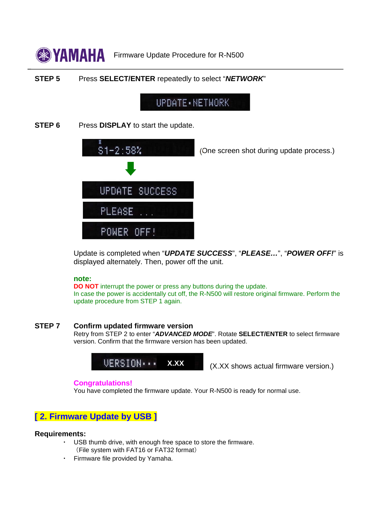<span id="page-1-0"></span>

### **STEP 5** Press **SELECT/ENTER** repeatedly to select "*NETWORK*"

# UPDATE · NETWORK

**STEP 6** Press **DISPLAY** to start the update.



(One screen shot during update process.)

Update is completed when "*UPDATE SUCCESS*", "*PLEASE…*", "*POWER OFF!*" is displayed alternately. Then, power off the unit.

#### **note:**

**DO NOT** interrupt the power or press any buttons during the update. In case the power is accidentally cut off, the R-N500 will restore original firmware. Perform the update procedure from STEP 1 again.

#### **STEP 7 Confirm updated firmware version**

Retry from STEP 2 to enter "*ADVANCED MODE*". Rotate **SELECT/ENTER** to select firmware version. Confirm that the firmware version has been updated.



#### **Congratulations!**

You have completed the firmware update. Your R-N500 is ready for normal use.

## **[ 2. Firmware Update by USB ]**

#### **Requirements:**

- USB thumb drive, with enough free space to store the firmware. (File system with FAT16 or FAT32 format)
- Firmware file provided by Yamaha.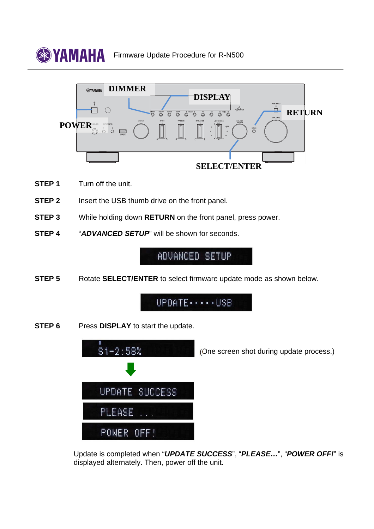



- **STEP 1** Turn off the unit.
- **STEP 2** Insert the USB thumb drive on the front panel.
- **STEP 3** While holding down **RETURN** on the front panel, press power.
- **STEP 4** "*ADVANCED SETUP*" will be shown for seconds.

ADVANCED SETUP

**STEP 5** Rotate **SELECT/ENTER** to select firmware update mode as shown below.



**STEP 6** Press **DISPLAY** to start the update.



Update is completed when "*UPDATE SUCCESS*", "*PLEASE…*", "*POWER OFF!*" is displayed alternately. Then, power off the unit.